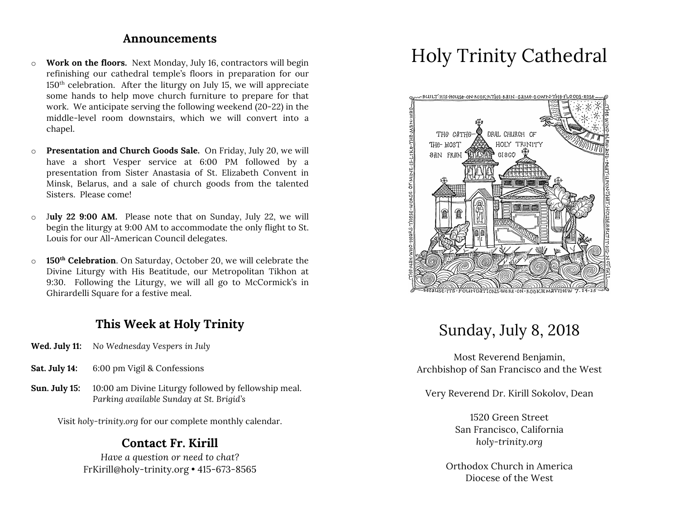#### **Announcements**

- o **Work on the floors.** Next Monday, July 16, contractors will begin refinishing our cathedral temple's floors in preparation for our  $150<sup>th</sup>$  celebration. After the liturgy on July 15, we will appreciate some hands to help move church furniture to prepare for that work. We anticipate serving the following weekend (20-22) in the middle-level room downstairs, which we will convert into a chapel.
- o **Presentation and Church Goods Sale.** On Friday, July 20, we will have a short Vesper service at 6:00 PM followed by a presentation from Sister Anastasia of St. Elizabeth Convent in Minsk, Belarus, and a sale of church goods from the talented Sisters. Please come!
- o J**uly 22 9:00 AM.** Please note that on Sunday, July 22, we will begin the liturgy at 9:00 AM to accommodate the only flight to St. Louis for our All-American Council delegates.
- o **150th Celebration**. On Saturday, October 20, we will celebrate the Divine Liturgy with His Beatitude, our Metropolitan Tikhon at 9:30. Following the Liturgy, we will all go to McCormick's in Ghirardelli Square for a festive meal.

## **This Week at Holy Trinity**

- **Wed. July 11:** *No Wednesday Vespers in July*
- **Sat. July 14:** 6:00 pm Vigil & Confessions
- **Sun. July 15:** 10:00 am Divine Liturgy followed by fellowship meal. *Parking available Sunday at St. Brigid's*

Visit *holy-trinity.org* for our complete monthly calendar.

### **Contact Fr. Kirill**

*Have a question or need to chat?* FrKirill@holy-trinity.org • 415-673-8565

# Holy Trinity Cathedral



# Sunday, July 8, 2018

Most Reverend Benjamin, Archbishop of San Francisco and the West

Very Reverend Dr. Kirill Sokolov, Dean

1520 Green Street San Francisco, California *holy-trinity.org*

Orthodox Church in America Diocese of the West